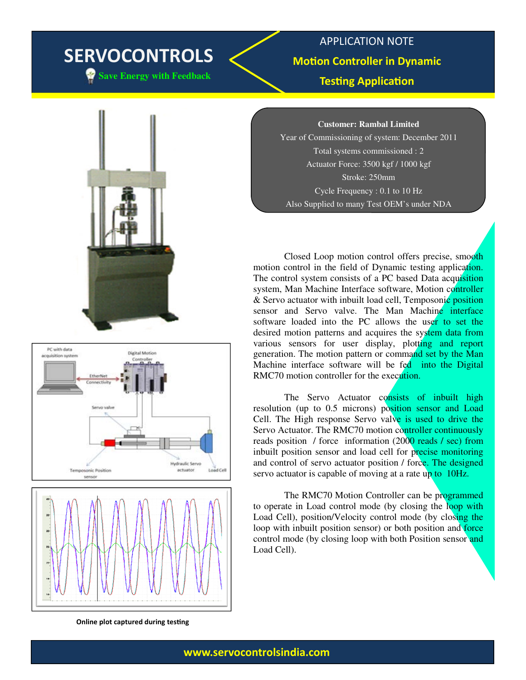# SERVOCONTROLS

**Save Energy with Feedback** 

### APPLICATION NOTE **Motion Controller in Dynamic Testing Application**

**Customer: Rambal Limited**

Year of Commissioning of system: December 2011 Total systems commissioned : 2 Actuator Force: 3500 kgf / 1000 kgf Stroke: 250mm Cycle Frequency : 0.1 to 10 Hz Also Supplied to many Test OEM's under NDA

 Closed Loop motion control offers precise, smooth motion control in the field of Dynamic testing application. The control system consists of a PC based Data acquisition system, Man Machine Interface software, Motion controller & Servo actuator with inbuilt load cell, Temposonic position sensor and Servo valve. The Man Machine interface software loaded into the PC allows the user to set the desired motion patterns and acquires the system data from various sensors for user display, plotting and report generation. The motion pattern or command set by the Man Machine interface software will be fed into the Digital RMC70 motion controller for the execution.

The Servo Actuator consists of inbuilt high resolution (up to 0.5 microns) position sensor and Load Cell. The High response Servo valve is used to drive the Servo Actuator. The RMC70 motion controller continuously reads position / force information (2000 reads / sec) from inbuilt position sensor and load cell for precise monitoring and control of servo actuator position / force. The designed servo actuator is capable of moving at a rate up to 10Hz.

 The RMC70 Motion Controller can be programmed to operate in Load control mode (by closing the loop with Load Cell), position/Velocity control mode (by closing the loop with inbuilt position sensor) or both position and force control mode (by closing loop with both Position sensor and Load Cell).



www.servocontrolsindia.com